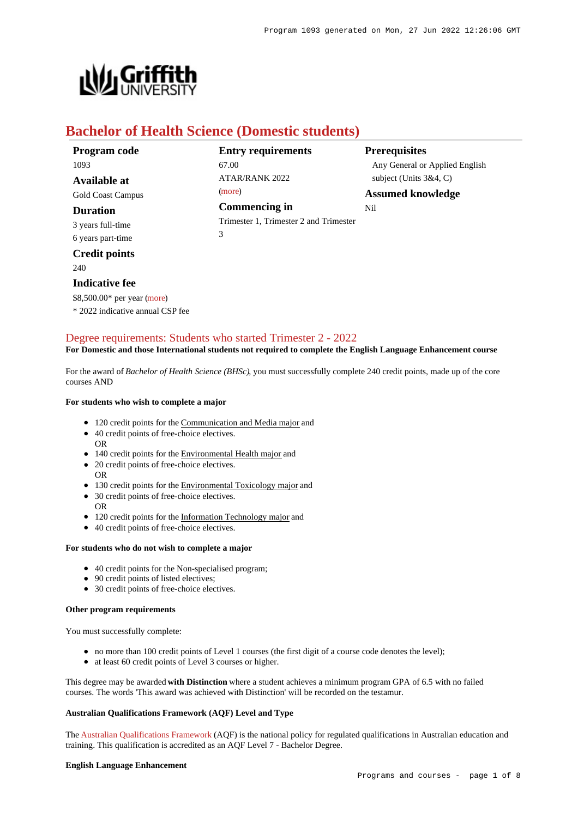

# **Bachelor of Health Science (Domestic students)**

| Program code             | <b>Entry requirements</b>              | <b>Prerequisites</b>           |
|--------------------------|----------------------------------------|--------------------------------|
| 1093                     | 67.00                                  | Any General or Applied English |
| Available at             | ATAR/RANK 2022                         | subject (Units $3&4, C$ )      |
| <b>Gold Coast Campus</b> | (more)                                 | <b>Assumed knowledge</b>       |
| <b>Duration</b>          | Commencing in                          | Nil                            |
| 3 years full-time        | Trimester 1, Trimester 2 and Trimester |                                |
| 6 years part-time        | 3                                      |                                |
| <b>Credit points</b>     |                                        |                                |
|                          |                                        |                                |

240

## **Indicative fee**

\$8,500.00\* per year [\(more](https://www148.griffith.edu.au/programs-courses/Program/1093/Overview/Domestic#fees))

\* 2022 indicative annual CSP fee

# [Degree requirements: Students who started Trimester 2 - 2022](https://www148.griffith.edu.au/programs-courses/Program/1093/Courses/Domestic#degree-requirements)

## **For Domestic and those International students not required to complete the English Language Enhancement course**

For the award of *Bachelor of Health Science (BHSc)*, you must successfully complete 240 credit points, made up of the core courses AND

#### **For students who wish to complete a major**

- 120 credit points for the Communication and Media major and
- 40 credit points of free-choice electives.
- 140 credit points for the Environmental Health major and
- 20 credit points of free-choice electives.
- OR

OR

- 130 credit points for the Environmental Toxicology major and
- 30 credit points of free-choice electives.
- OR • 120 credit points for the Information Technology major and
- 40 credit points of free-choice electives.

#### **For students who do not wish to complete a major**

- 40 credit points for the Non-specialised program;
- 90 credit points of listed electives;
- 30 credit points of free-choice electives.

#### **Other program requirements**

You must successfully complete:

- no more than 100 credit points of Level 1 courses (the first digit of a course code denotes the level);
- at least 60 credit points of Level 3 courses or higher.

This degree may be awarded **with Distinction** where a student achieves a minimum program GPA of 6.5 with no failed courses. The words 'This award was achieved with Distinction' will be recorded on the testamur.

## **Australian Qualifications Framework (AQF) Level and Type**

The [Australian Qualifications Framework](http://www.aqf.edu.au/) (AQF) is the national policy for regulated qualifications in Australian education and training. This qualification is accredited as an AQF Level 7 - Bachelor Degree.

#### **English Language Enhancement**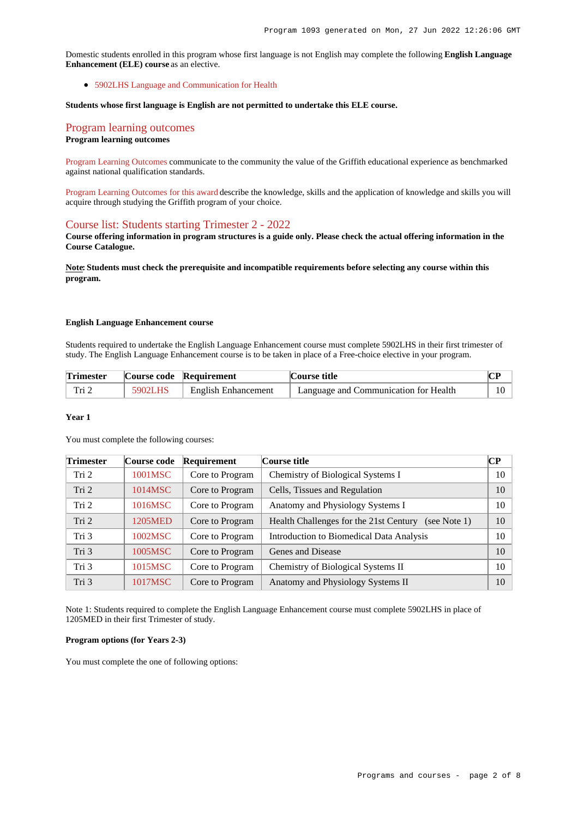Domestic students enrolled in this program whose first language is not English may complete the following **English Language Enhancement (ELE) course** as an elective.

[5902LHS Language and Communication for Health](https://www148.griffith.edu.au/Course/5902LHS)

#### **Students whose first language is English are not permitted to undertake this ELE course.**

# [Program learning outcomes](https://www148.griffith.edu.au/programs-courses/Program/1093/Courses/Domestic#programLearningOutcomes)

## **Program learning outcomes**

[Program Learning Outcomes](https://www.griffith.edu.au/__data/assets/pdf_file/0017/134522/PLO-general-advice.pdf) communicate to the community the value of the Griffith educational experience as benchmarked against national qualification standards.

[Program Learning Outcomes for this award](https://www.griffith.edu.au/__data/assets/pdf_file/0029/295625/BHealth-Science-PLO-L7.pdf) describe the knowledge, skills and the application of knowledge and skills you will acquire through studying the Griffith program of your choice.

### [Course list: Students starting Trimester 2 - 2022](https://www148.griffith.edu.au/programs-courses/Program/1093/Courses/Domestic#course-list-content)

**Course offering information in program structures is a guide only. Please check the actual offering information in the Course Catalogue.**

**Note: Students must check the prerequisite and incompatible requirements before selecting any course within this program.**

### **English Language Enhancement course**

Students required to undertake the English Language Enhancement course must complete 5902LHS in their first trimester of study. The English Language Enhancement course is to be taken in place of a Free-choice elective in your program.

| <b>Trimester</b> |         | Course code Requirement    | Course title                          |  |
|------------------|---------|----------------------------|---------------------------------------|--|
| Tri 2            | 5902LHS | <b>English Enhancement</b> | Language and Communication for Health |  |

#### **Year 1**

You must complete the following courses:

| <b>Trimester</b> | Course code | Requirement     | Course title                                              | CР |
|------------------|-------------|-----------------|-----------------------------------------------------------|----|
| Tri 2            | 1001MSC     | Core to Program | Chemistry of Biological Systems I                         | 10 |
| Tri 2            | 1014MSC     | Core to Program | Cells, Tissues and Regulation                             | 10 |
| Tri 2            | 1016MSC     | Core to Program | Anatomy and Physiology Systems I                          | 10 |
| Tri 2            | 1205MED     | Core to Program | Health Challenges for the 21st Century<br>(see Note $1$ ) | 10 |
| Tri 3            | 1002MSC     | Core to Program | Introduction to Biomedical Data Analysis                  | 10 |
| Tri 3            | 1005MSC     | Core to Program | Genes and Disease                                         | 10 |
| Tri 3            | 1015MSC     | Core to Program | Chemistry of Biological Systems II                        | 10 |
| Tri 3            | 1017MSC     | Core to Program | Anatomy and Physiology Systems II                         | 10 |

Note 1: Students required to complete the English Language Enhancement course must complete 5902LHS in place of 1205MED in their first Trimester of study.

#### **Program options (for Years 2-3)**

You must complete the one of following options: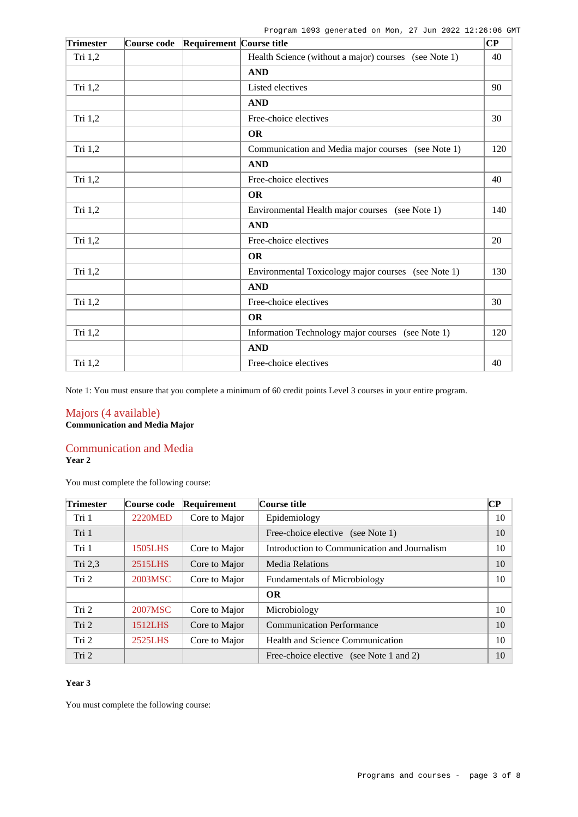Program 1093 generated on Mon, 27 Jun 2022 12:26:06 GMT

| <b>Trimester</b> | Course code | <b>Requirement Course title</b> |                                                       |     |
|------------------|-------------|---------------------------------|-------------------------------------------------------|-----|
| Tri $1,2$        |             |                                 | Health Science (without a major) courses (see Note 1) | 40  |
|                  |             |                                 | <b>AND</b>                                            |     |
| Tri 1,2          |             |                                 | Listed electives                                      | 90  |
|                  |             |                                 | <b>AND</b>                                            |     |
| Tri 1,2          |             |                                 | Free-choice electives                                 | 30  |
|                  |             |                                 | <b>OR</b>                                             |     |
| Tri 1,2          |             |                                 | Communication and Media major courses (see Note 1)    | 120 |
|                  |             |                                 | <b>AND</b>                                            |     |
| Tri 1,2          |             |                                 | Free-choice electives                                 | 40  |
|                  |             |                                 | <b>OR</b>                                             |     |
| Tri 1,2          |             |                                 | Environmental Health major courses (see Note 1)       | 140 |
|                  |             |                                 | <b>AND</b>                                            |     |
| Tri 1,2          |             |                                 | Free-choice electives                                 | 20  |
|                  |             |                                 | <b>OR</b>                                             |     |
| Tri 1,2          |             |                                 | Environmental Toxicology major courses (see Note 1)   | 130 |
|                  |             |                                 | <b>AND</b>                                            |     |
| Tri 1,2          |             |                                 | Free-choice electives                                 | 30  |
|                  |             |                                 | <b>OR</b>                                             |     |
| Tri $1,2$        |             |                                 | Information Technology major courses (see Note 1)     | 120 |
|                  |             |                                 | <b>AND</b>                                            |     |
| Tri 1,2          |             |                                 | Free-choice electives                                 | 40  |

Note 1: You must ensure that you complete a minimum of 60 credit points Level 3 courses in your entire program.

## Majors (4 available) **Communication and Media Major**

## Communication and Media

**Year 2**

You must complete the following course:

| <b>Trimester</b> | Course code    | Requirement   | Course title                                 | CР |
|------------------|----------------|---------------|----------------------------------------------|----|
| Tri 1            | <b>2220MED</b> | Core to Major | Epidemiology                                 | 10 |
| Tri 1            |                |               | Free-choice elective (see Note 1)            | 10 |
| Tri 1            | 1505LHS        | Core to Major | Introduction to Communication and Journalism | 10 |
| Tri 2,3          | 2515LHS        | Core to Major | <b>Media Relations</b>                       | 10 |
| Tri 2            | 2003MSC        | Core to Major | <b>Fundamentals of Microbiology</b>          | 10 |
|                  |                |               | <b>OR</b>                                    |    |
| Tri 2            | 2007MSC        | Core to Major | Microbiology                                 | 10 |
| Tri 2            | 1512LHS        | Core to Major | <b>Communication Performance</b>             | 10 |
| Tri 2            | 2525LHS        | Core to Major | Health and Science Communication             | 10 |
| Tri 2            |                |               | Free-choice elective (see Note 1 and 2)      | 10 |

## **Year 3**

You must complete the following course: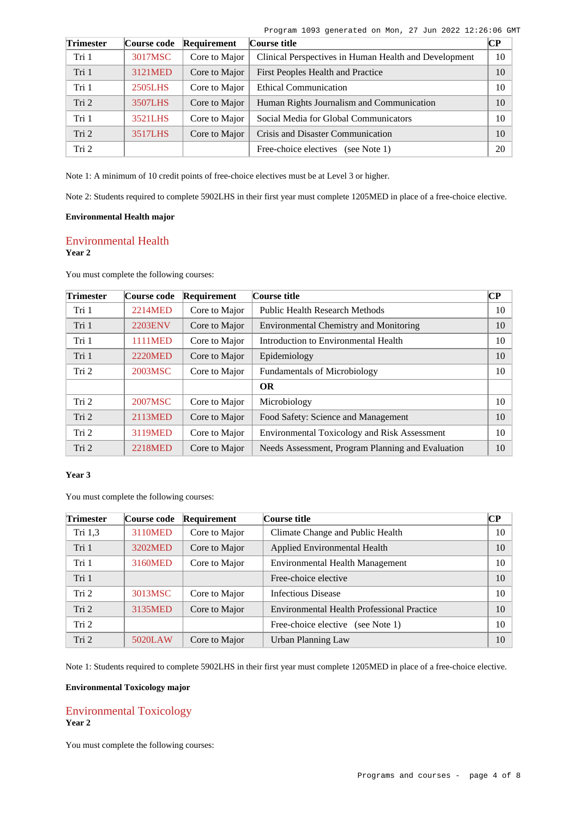| Program 1093 generated on Mon, 27 Jun 2022 12:26:06 GMT |  |  |  |
|---------------------------------------------------------|--|--|--|
|                                                         |  |  |  |

| <b>Trimester</b> | Course code | Requirement   | Course title                                          | $\bf CP$ |
|------------------|-------------|---------------|-------------------------------------------------------|----------|
| Tri 1            | 3017MSC     | Core to Major | Clinical Perspectives in Human Health and Development | 10       |
| Tri 1            | 3121MED     | Core to Major | First Peoples Health and Practice                     | 10       |
| Tri 1            | 2505LHS     | Core to Major | <b>Ethical Communication</b>                          | 10       |
| Tri <sub>2</sub> | 3507LHS     | Core to Major | Human Rights Journalism and Communication             | 10       |
| Tri 1            | 3521LHS     | Core to Major | Social Media for Global Communicators                 | 10       |
| Tri <sub>2</sub> | 3517LHS     | Core to Major | Crisis and Disaster Communication                     | 10       |
| Tri <sub>2</sub> |             |               | Free-choice electives<br>(see Note 1)                 | 20       |

Note 1: A minimum of 10 credit points of free-choice electives must be at Level 3 or higher.

Note 2: Students required to complete 5902LHS in their first year must complete 1205MED in place of a free-choice elective.

## **Environmental Health major**

## Environmental Health **Year 2**

You must complete the following courses:

| <b>Trimester</b> | Course code    | Requirement   | Course title                                        | $\bf CP$ |
|------------------|----------------|---------------|-----------------------------------------------------|----------|
| Tri 1            | 2214MED        | Core to Major | Public Health Research Methods                      | 10       |
| Tri 1            | <b>2203ENV</b> | Core to Major | <b>Environmental Chemistry and Monitoring</b>       | 10       |
| Tri 1            | <b>1111MED</b> | Core to Major | Introduction to Environmental Health                | 10       |
| Tri 1            | <b>2220MED</b> | Core to Major | Epidemiology                                        | 10       |
| Tri 2            | 2003MSC        | Core to Major | <b>Fundamentals of Microbiology</b>                 | 10       |
|                  |                |               | <b>OR</b>                                           |          |
| Tri 2            | 2007MSC        | Core to Major | Microbiology                                        | 10       |
| Tri 2            | 2113MED        | Core to Major | Food Safety: Science and Management                 | 10       |
| Tri 2            | 3119MED        | Core to Major | <b>Environmental Toxicology and Risk Assessment</b> | 10       |
| Tri 2            | 2218MED        | Core to Major | Needs Assessment, Program Planning and Evaluation   | 10       |

### **Year 3**

You must complete the following courses:

| <b>Trimester</b> | Course code | Requirement   | Course title                                      | <b>CP</b> |
|------------------|-------------|---------------|---------------------------------------------------|-----------|
| Tri 1,3          | 3110MED     | Core to Major | Climate Change and Public Health                  | 10        |
| Tri 1            | 3202MED     | Core to Major | Applied Environmental Health                      | 10        |
| Tri 1            | 3160MED     | Core to Major | Environmental Health Management                   | 10        |
| Tri 1            |             |               | Free-choice elective                              | 10        |
| Tri 2            | 3013MSC     | Core to Major | <b>Infectious Disease</b>                         | 10        |
| Tri 2            | 3135MED     | Core to Major | <b>Environmental Health Professional Practice</b> | 10        |
| Tri <sub>2</sub> |             |               | Free-choice elective (see Note 1)                 | 10        |
| Tri 2            | 5020LAW     | Core to Major | Urban Planning Law                                | 10        |

Note 1: Students required to complete 5902LHS in their first year must complete 1205MED in place of a free-choice elective.

## **Environmental Toxicology major**

## Environmental Toxicology **Year 2**

You must complete the following courses: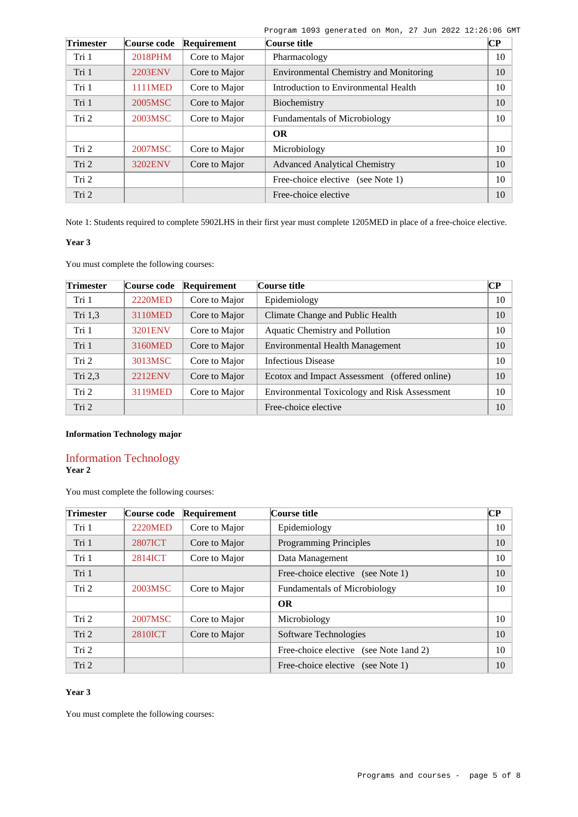| Program 1093 generated on Mon, 27 Jun 2022 12:26:06 GMT |  |  |  |  |  |  |  |  |
|---------------------------------------------------------|--|--|--|--|--|--|--|--|
|---------------------------------------------------------|--|--|--|--|--|--|--|--|

| <b>Trimester</b> | Course code    | Requirement   | Course title                                  | $\overline{\mathbf{CP}}$ |
|------------------|----------------|---------------|-----------------------------------------------|--------------------------|
| Tri 1            | 2018PHM        | Core to Major | Pharmacology                                  | 10                       |
| Tri 1            | <b>2203ENV</b> | Core to Major | <b>Environmental Chemistry and Monitoring</b> | 10                       |
| Tri 1            | 1111MED        | Core to Major | Introduction to Environmental Health          | 10                       |
| Tri 1            | 2005MSC        | Core to Major | Biochemistry                                  | 10                       |
| Tri 2            | 2003MSC        | Core to Major | <b>Fundamentals of Microbiology</b>           | 10                       |
|                  |                |               | <b>OR</b>                                     |                          |
| Tri 2            | 2007MSC        | Core to Major | Microbiology                                  | 10                       |
| Tri 2            | <b>3202ENV</b> | Core to Major | <b>Advanced Analytical Chemistry</b>          | 10                       |
| Tri 2            |                |               | Free-choice elective (see Note 1)             | 10                       |
| Tri 2            |                |               | Free-choice elective                          | 10                       |

Note 1: Students required to complete 5902LHS in their first year must complete 1205MED in place of a free-choice elective.

## **Year 3**

You must complete the following courses:

| <b>Trimester</b> | Course code    | Requirement   | Course title                                        | CР |
|------------------|----------------|---------------|-----------------------------------------------------|----|
| Tri 1            | <b>2220MED</b> | Core to Major | Epidemiology                                        | 10 |
| Tri 1,3          | 3110MED        | Core to Major | Climate Change and Public Health                    | 10 |
| Tri 1            | <b>3201ENV</b> | Core to Major | Aquatic Chemistry and Pollution                     | 10 |
| Tri 1            | 3160MED        | Core to Major | Environmental Health Management                     | 10 |
| Tri 2            | 3013MSC        | Core to Major | <b>Infectious Disease</b>                           | 10 |
| Tri 2,3          | <b>2212ENV</b> | Core to Major | Ecotox and Impact Assessment (offered online)       | 10 |
| Tri 2            | 3119MED        | Core to Major | <b>Environmental Toxicology and Risk Assessment</b> | 10 |
| Tri 2            |                |               | Free-choice elective                                | 10 |

## **Information Technology major**

## Information Technology **Year 2**

You must complete the following courses:

| Trimester | Course code    | Requirement   | Course title                            | CР |
|-----------|----------------|---------------|-----------------------------------------|----|
| Tri 1     | <b>2220MED</b> | Core to Major | Epidemiology                            | 10 |
| Tri 1     | <b>2807ICT</b> | Core to Major | <b>Programming Principles</b>           | 10 |
| Tri 1     | 2814ICT        | Core to Major | Data Management                         | 10 |
| Tri 1     |                |               | Free-choice elective (see Note 1)       | 10 |
| Tri 2     | 2003MSC        | Core to Major | <b>Fundamentals of Microbiology</b>     | 10 |
|           |                |               | <b>OR</b>                               |    |
| Tri 2     | 2007MSC        | Core to Major | Microbiology                            | 10 |
| Tri 2     | <b>2810ICT</b> | Core to Major | Software Technologies                   | 10 |
| Tri 2     |                |               | Free-choice elective (see Note 1 and 2) | 10 |
| Tri 2     |                |               | Free-choice elective (see Note 1)       | 10 |

## **Year 3**

You must complete the following courses: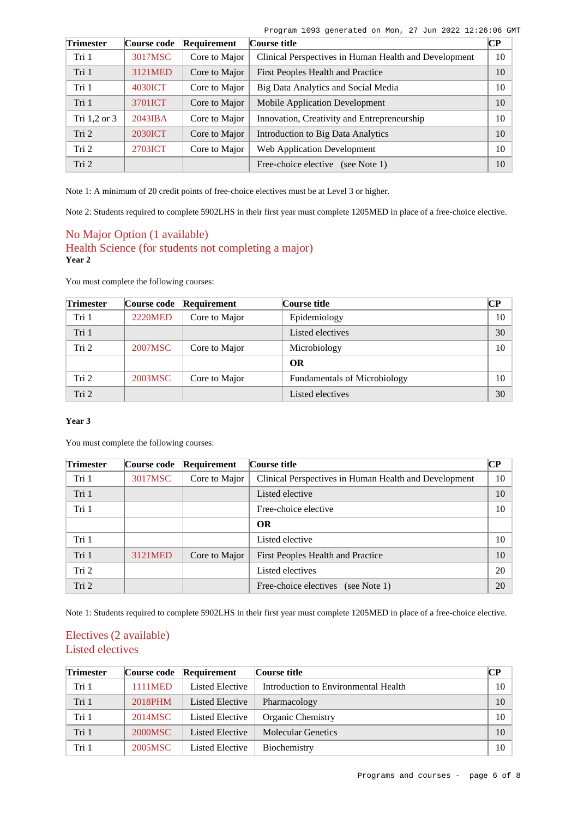|  | Program 1093 generated on Mon, 27 Jun 2022 12:26:06 GMT |  |  |  |  |
|--|---------------------------------------------------------|--|--|--|--|
|  |                                                         |  |  |  |  |

| <b>Trimester</b> | Course code    | Requirement   | Course title                                          | $\overline{\mathbf{CP}}$ |
|------------------|----------------|---------------|-------------------------------------------------------|--------------------------|
| Tri 1            | 3017MSC        | Core to Major | Clinical Perspectives in Human Health and Development | 10                       |
| Tri 1            | 3121MED        | Core to Major | First Peoples Health and Practice                     | 10                       |
| Tri 1            | 4030ICT        | Core to Major | Big Data Analytics and Social Media                   | 10                       |
| Tri 1            | 3701ICT        | Core to Major | <b>Mobile Application Development</b>                 | 10                       |
| Tri 1,2 or 3     | 2043IBA        | Core to Major | Innovation, Creativity and Entrepreneurship           | 10                       |
| Tri <sub>2</sub> | <b>2030ICT</b> | Core to Major | Introduction to Big Data Analytics                    | 10                       |
| Tri 2            | 2703ICT        | Core to Major | Web Application Development                           | 10                       |
| Tri 2            |                |               | Free-choice elective (see Note 1)                     | 10                       |

Note 1: A minimum of 20 credit points of free-choice electives must be at Level 3 or higher.

Note 2: Students required to complete 5902LHS in their first year must complete 1205MED in place of a free-choice elective.

## No Major Option (1 available) Health Science (for students not completing a major) **Year 2**

You must complete the following courses:

| <b>Trimester</b> | Course code    | Requirement   | Course title                        | <b>CP</b> |
|------------------|----------------|---------------|-------------------------------------|-----------|
| Tri 1            | <b>2220MED</b> | Core to Major | Epidemiology                        | 10        |
| Tri 1            |                |               | Listed electives                    | 30        |
| Tri <sub>2</sub> | 2007MSC        | Core to Major | Microbiology                        | 10        |
|                  |                |               | OR                                  |           |
| Tri 2            | 2003MSC        | Core to Major | <b>Fundamentals of Microbiology</b> | 10        |
| Tri 2            |                |               | Listed electives                    | 30        |

## **Year 3**

You must complete the following courses:

| <b>Trimester</b> | Course code | Requirement   | Course title                                          | CР |
|------------------|-------------|---------------|-------------------------------------------------------|----|
| Tri 1            | 3017MSC     | Core to Major | Clinical Perspectives in Human Health and Development | 10 |
| Tri 1            |             |               | Listed elective                                       | 10 |
| Tri 1            |             |               | Free-choice elective                                  | 10 |
|                  |             |               | <b>OR</b>                                             |    |
| Tri 1            |             |               | Listed elective                                       | 10 |
| Tri 1            | 3121MED     | Core to Major | First Peoples Health and Practice                     | 10 |
| Tri 2            |             |               | Listed electives                                      | 20 |
| Tri 2            |             |               | Free-choice electives<br>(see Note 1)                 | 20 |

Note 1: Students required to complete 5902LHS in their first year must complete 1205MED in place of a free-choice elective.

# Electives (2 available) Listed electives

| <b>Trimester</b> | Course code    | Requirement            | Course title                         | $\mathbb{C}P$ |
|------------------|----------------|------------------------|--------------------------------------|---------------|
| Tri 1            | <b>1111MED</b> | Listed Elective        | Introduction to Environmental Health | 10            |
| Tri 1            | 2018PHM        | <b>Listed Elective</b> | Pharmacology                         | 10            |
| Tri 1            | 2014MSC        | Listed Elective        | <b>Organic Chemistry</b>             | 10            |
| Tri 1            | 2000MSC        | Listed Elective        | <b>Molecular Genetics</b>            | 10            |
| Tri 1            | 2005MSC        | Listed Elective        | Biochemistry                         | 10            |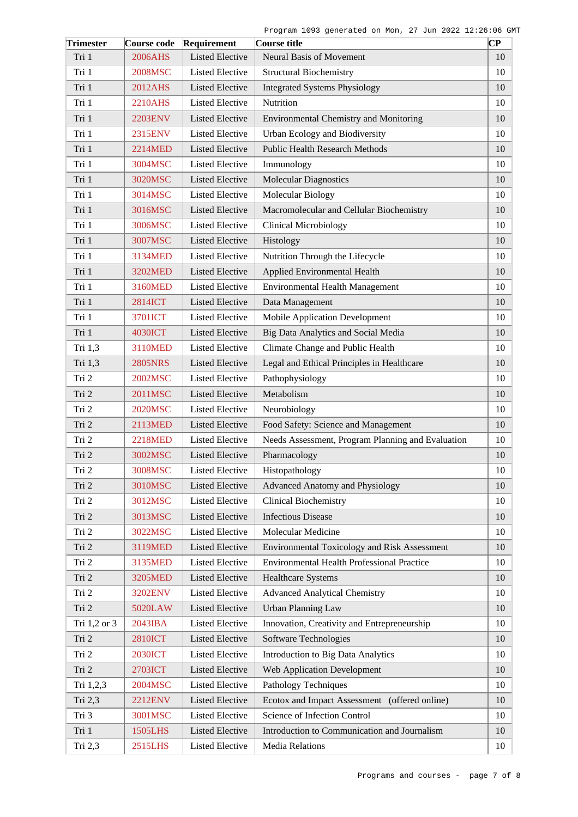| <b>Trimester</b> | Course code    | Requirement            | Course title                                      | $\overline{\mathbf{C}\mathbf{P}}$ |
|------------------|----------------|------------------------|---------------------------------------------------|-----------------------------------|
| Tri 1            | 2006AHS        | <b>Listed Elective</b> | <b>Neural Basis of Movement</b>                   | 10                                |
| Tri 1            | 2008MSC        | <b>Listed Elective</b> | <b>Structural Biochemistry</b>                    | 10                                |
| Tri 1            | 2012AHS        | <b>Listed Elective</b> | <b>Integrated Systems Physiology</b>              | 10                                |
| Tri 1            | 2210AHS        | <b>Listed Elective</b> | Nutrition                                         | 10                                |
| Tri 1            | <b>2203ENV</b> | <b>Listed Elective</b> | <b>Environmental Chemistry and Monitoring</b>     | 10                                |
| Tri 1            | 2315ENV        | <b>Listed Elective</b> | Urban Ecology and Biodiversity                    | 10                                |
| Tri 1            | 2214MED        | <b>Listed Elective</b> | <b>Public Health Research Methods</b>             | 10                                |
| Tri 1            | 3004MSC        | <b>Listed Elective</b> | Immunology                                        | 10                                |
| Tri 1            | 3020MSC        | <b>Listed Elective</b> | <b>Molecular Diagnostics</b>                      | 10                                |
| Tri 1            | 3014MSC        | <b>Listed Elective</b> | <b>Molecular Biology</b>                          | 10                                |
| Tri 1            | 3016MSC        | <b>Listed Elective</b> | Macromolecular and Cellular Biochemistry          | 10                                |
| Tri 1            | 3006MSC        | <b>Listed Elective</b> | <b>Clinical Microbiology</b>                      | 10                                |
| Tri 1            | 3007MSC        | <b>Listed Elective</b> | Histology                                         | 10                                |
| Tri 1            | 3134MED        | <b>Listed Elective</b> | Nutrition Through the Lifecycle                   | 10                                |
| Tri 1            | 3202MED        | <b>Listed Elective</b> | Applied Environmental Health                      | 10                                |
| Tri 1            | 3160MED        | <b>Listed Elective</b> | <b>Environmental Health Management</b>            | 10                                |
| Tri 1            | 2814ICT        | <b>Listed Elective</b> | Data Management                                   | 10                                |
| Tri 1            | 3701ICT        | <b>Listed Elective</b> | Mobile Application Development                    | 10                                |
| Tri 1            | 4030ICT        | <b>Listed Elective</b> | Big Data Analytics and Social Media               | 10                                |
| Tri 1,3          | 3110MED        | <b>Listed Elective</b> | Climate Change and Public Health                  | 10                                |
| Tri 1,3          | <b>2805NRS</b> | <b>Listed Elective</b> | Legal and Ethical Principles in Healthcare        | 10                                |
| Tri 2            | 2002MSC        | <b>Listed Elective</b> | Pathophysiology                                   | 10                                |
| Tri 2            | 2011MSC        | <b>Listed Elective</b> | Metabolism                                        | 10                                |
| Tri 2            | 2020MSC        | <b>Listed Elective</b> | Neurobiology                                      | 10                                |
| Tri 2            | 2113MED        | <b>Listed Elective</b> | Food Safety: Science and Management               | 10                                |
| Tri 2            | <b>2218MED</b> | <b>Listed Elective</b> | Needs Assessment, Program Planning and Evaluation | 10                                |
| Tri 2            | 3002MSC        | <b>Listed Elective</b> | Pharmacology                                      | 10                                |
| Tri 2            | 3008MSC        | <b>Listed Elective</b> | Histopathology                                    | $10\,$                            |
| Tri 2            | 3010MSC        | <b>Listed Elective</b> | Advanced Anatomy and Physiology                   | 10                                |
| Tri 2            | 3012MSC        | <b>Listed Elective</b> | <b>Clinical Biochemistry</b>                      | 10                                |
| Tri 2            | 3013MSC        | <b>Listed Elective</b> | <b>Infectious Disease</b>                         | 10                                |
| Tri 2            | 3022MSC        | <b>Listed Elective</b> | Molecular Medicine                                | 10                                |
| Tri 2            | 3119MED        | <b>Listed Elective</b> | Environmental Toxicology and Risk Assessment      | 10                                |
| Tri 2            | 3135MED        | <b>Listed Elective</b> | Environmental Health Professional Practice        | 10                                |
| Tri 2            | <b>3205MED</b> | <b>Listed Elective</b> | <b>Healthcare Systems</b>                         | 10                                |
| Tri 2            | 3202ENV        | <b>Listed Elective</b> | <b>Advanced Analytical Chemistry</b>              | 10                                |
| Tri 2            | 5020LAW        | <b>Listed Elective</b> | <b>Urban Planning Law</b>                         | 10                                |
| Tri 1,2 or 3     | 2043IBA        | <b>Listed Elective</b> | Innovation, Creativity and Entrepreneurship       | 10                                |
| Tri 2            | <b>2810ICT</b> | <b>Listed Elective</b> | Software Technologies                             | 10                                |
| Tri 2            | <b>2030ICT</b> | <b>Listed Elective</b> | Introduction to Big Data Analytics                | 10                                |
| Tri 2            | 2703ICT        | <b>Listed Elective</b> | <b>Web Application Development</b>                | 10                                |
| Tri 1,2,3        | 2004MSC        | <b>Listed Elective</b> | Pathology Techniques                              | 10                                |
| Tri 2,3          | <b>2212ENV</b> | <b>Listed Elective</b> | Ecotox and Impact Assessment (offered online)     | 10                                |
| Tri 3            | 3001MSC        | <b>Listed Elective</b> | Science of Infection Control                      | 10                                |
| Tri 1            | 1505LHS        | <b>Listed Elective</b> | Introduction to Communication and Journalism      | 10                                |
| Tri 2,3          | 2515LHS        | Listed Elective        | Media Relations                                   | 10                                |